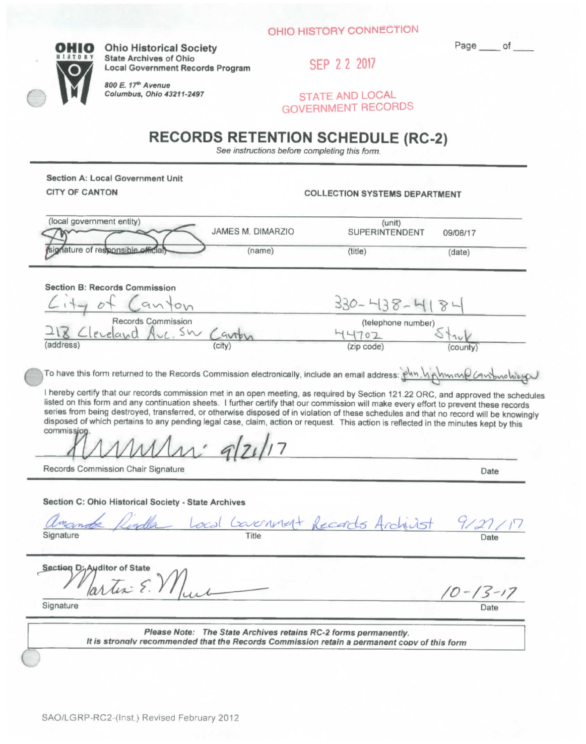

**OHIO** Ohio Historical Society<br> **E13T0RY** State Archives of Ohio<br> **CERRY 20047 ' ^ ^ ° " stat e Archive s of Ohio g^p 2 2 2017 Loca l Government Record s Program** 

> *800 E.* **77\* Avenue**  */' \^ m Columbus. Ohio43211-2497* **STATE AND LOCAL**

**^ \* ' GOVERNMENT RECORDS** 

## **RECORDS RETENTION SCHEDULE (RC-2)**

See *instrvctions before completing this form.* 

**Section A: Local Government Unit** 

**COLLECTION SYSTEMS DEPARTMENT** 

| (local government entity)                                                                                                                                                                                                                                                                                                                                                                                                                | JAMES M. DIMARZIO                                               | (unit)<br><b>SUPERINTENDENT</b>                                                             | 09/08/17       |
|------------------------------------------------------------------------------------------------------------------------------------------------------------------------------------------------------------------------------------------------------------------------------------------------------------------------------------------------------------------------------------------------------------------------------------------|-----------------------------------------------------------------|---------------------------------------------------------------------------------------------|----------------|
| mature of responsible official                                                                                                                                                                                                                                                                                                                                                                                                           | (name)                                                          | (title)                                                                                     | (date)         |
| Section B: Records Commission                                                                                                                                                                                                                                                                                                                                                                                                            |                                                                 |                                                                                             |                |
| $1 + y$ of $Can$ ton                                                                                                                                                                                                                                                                                                                                                                                                                     |                                                                 | $330 - 438 - 418$                                                                           |                |
| Records Commission.<br>18 Cleveland Avc. SW Cavrby                                                                                                                                                                                                                                                                                                                                                                                       |                                                                 | (telephone number)                                                                          |                |
|                                                                                                                                                                                                                                                                                                                                                                                                                                          |                                                                 | 44702                                                                                       |                |
| (address)                                                                                                                                                                                                                                                                                                                                                                                                                                |                                                                 | (zip code)                                                                                  | county)        |
| listed on this form and any continuation sheets. I further certify that our commission will make every effort to prevent these records<br>series from being destroyed, transferred, or otherwise disposed of in violation of these schedules and that no record will be knowingly<br>disposed of which pertains to any pending legal case, claim, action or request. This action is reflected in the minutes kept by this<br>commission. |                                                                 |                                                                                             |                |
| Records Commission Chair Signature                                                                                                                                                                                                                                                                                                                                                                                                       |                                                                 |                                                                                             | Date           |
| Section C: Ohio Historical Society - State Archives<br>amonde Kindla Local Covernment Records Andrivist<br>Signature                                                                                                                                                                                                                                                                                                                     |                                                                 |                                                                                             | 9/27           |
| Section D; Auditor of State<br>artin E.M.                                                                                                                                                                                                                                                                                                                                                                                                |                                                                 |                                                                                             | $10 - 13 - 17$ |
| Signature                                                                                                                                                                                                                                                                                                                                                                                                                                |                                                                 |                                                                                             |                |
|                                                                                                                                                                                                                                                                                                                                                                                                                                          | Please Note: The State Archives retains RC-2 forms permanently. | It is stronaly recommended that the Records Commission retain a permanent copy of this form |                |

**(**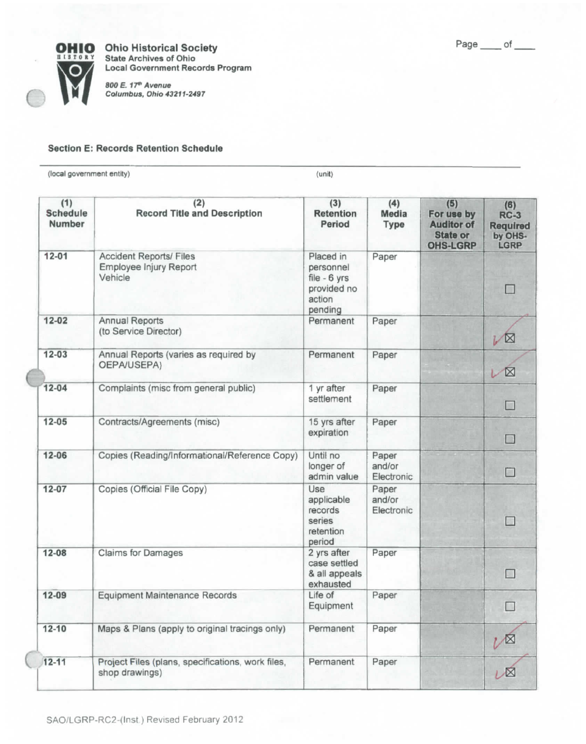



c

C

**OHIO** Ohio Historical Society **E** ISTORY State Archives of Ohio **Local Government Records Program** 

> *800 E. 17^ Avenue Columbus. Ohio 43211-2497*

## **Section E: Records Retention Schedule**

(local government entity) (unit)

| (1)<br><b>Schedule</b><br><b>Number</b> | (2)<br><b>Record Title and Description</b>                          | (3)<br><b>Retention</b><br>Period                                          | (4)<br>Media<br>Type          | (5)<br>For use by<br><b>Auditor of</b><br><b>State or</b><br><b>OHS-LGRP</b> | (6)<br>$RC-3$<br><b>Required</b><br>by OHS-<br>LGRP |
|-----------------------------------------|---------------------------------------------------------------------|----------------------------------------------------------------------------|-------------------------------|------------------------------------------------------------------------------|-----------------------------------------------------|
| $12 - 01$                               | <b>Accident Reports/ Files</b><br>Employee Injury Report<br>Vehicle | Placed in<br>personnel<br>file - 6 yrs<br>provided no<br>action<br>pending | Paper                         |                                                                              |                                                     |
| $12 - 02$                               | <b>Annual Reports</b><br>(to Service Director)                      | Permanent                                                                  | Paper                         |                                                                              | VX                                                  |
| $12 - 03$                               | Annual Reports (varies as required by<br>OEPA/USEPA)                | Permanent                                                                  | Paper                         |                                                                              | X                                                   |
| $12 - 04$                               | Complaints (misc from general public)                               | 1 yr after<br>settlement                                                   | Paper                         |                                                                              |                                                     |
| $12 - 05$                               | Contracts/Agreements (misc)                                         | 15 yrs after<br>expiration                                                 | Paper                         |                                                                              | $\Box$                                              |
| $12 - 06$                               | Copies (Reading/Informational/Reference Copy)                       | Until no<br>longer of<br>admin value                                       | Paper<br>and/or<br>Electronic |                                                                              | $\Box$                                              |
| $12 - 07$                               | Copies (Official File Copy)                                         | Use<br>applicable<br>records<br>series<br>retention<br>period              | Paper<br>and/or<br>Electronic |                                                                              | $\Box$                                              |
| $12 - 08$                               | <b>Claims for Damages</b>                                           | 2 yrs after<br>case settled<br>& all appeals<br>exhausted                  | Paper                         |                                                                              |                                                     |
| $12 - 09$                               | <b>Equipment Maintenance Records</b>                                | Life of<br>Equipment                                                       | Paper                         |                                                                              |                                                     |
| $12 - 10$                               | Maps & Plans (apply to original tracings only)                      | Permanent                                                                  | Paper                         |                                                                              | ∨⊠                                                  |
| $12 - 11$                               | Project Files (plans, specifications, work files,<br>shop drawings) | Permanent                                                                  | Paper                         |                                                                              | 1 ×                                                 |